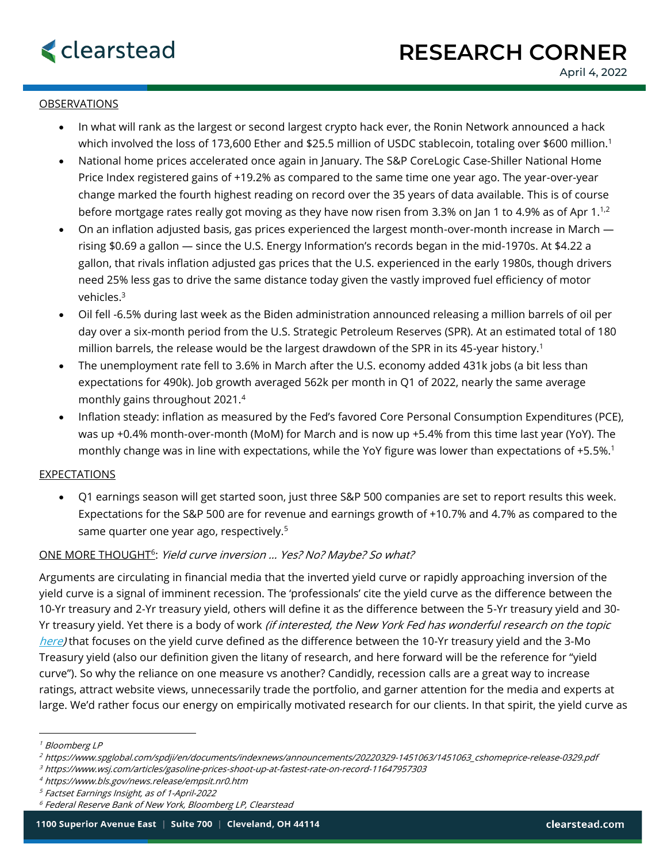## **OBSERVATIONS**

- In what will rank as the largest or second largest crypto hack ever, the Ronin Network announced a hack which involved the loss of 173,600 Ether and \$25.5 million of USDC stablecoin, totaling over \$600 million.<sup>1</sup>
- National home prices accelerated once again in January. The S&P CoreLogic Case-Shiller National Home Price Index registered gains of +19.2% as compared to the same time one year ago. The year-over-year change marked the fourth highest reading on record over the 35 years of data available. This is of course before mortgage rates really got moving as they have now risen from 3.3% on Jan 1 to 4.9% as of Apr 1.<sup>1,2</sup>
- On an inflation adjusted basis, gas prices experienced the largest month-over-month increase in March rising \$0.69 a gallon — since the U.S. Energy Information's records began in the mid-1970s. At \$4.22 a gallon, that rivals inflation adjusted gas prices that the U.S. experienced in the early 1980s, though drivers need 25% less gas to drive the same distance today given the vastly improved fuel efficiency of motor vehicles.<sup>3</sup>
- Oil fell -6.5% during last week as the Biden administration announced releasing a million barrels of oil per day over a six-month period from the U.S. Strategic Petroleum Reserves (SPR). At an estimated total of 180 million barrels, the release would be the largest drawdown of the SPR in its 45-year history.<sup>1</sup>
- The unemployment rate fell to 3.6% in March after the U.S. economy added 431k jobs (a bit less than expectations for 490k). Job growth averaged 562k per month in Q1 of 2022, nearly the same average monthly gains throughout 2021.<sup>4</sup>
- Inflation steady: inflation as measured by the Fed's favored Core Personal Consumption Expenditures (PCE), was up +0.4% month-over-month (MoM) for March and is now up +5.4% from this time last year (YoY). The monthly change was in line with expectations, while the YoY figure was lower than expectations of +5.5%.<sup>1</sup>

## EXPECTATIONS

• Q1 earnings season will get started soon, just three S&P 500 companies are set to report results this week. Expectations for the S&P 500 are for revenue and earnings growth of +10.7% and 4.7% as compared to the same quarter one year ago, respectively.<sup>5</sup>

## ONE MORE THOUGHT<sup>6</sup>: Yield curve inversion ... Yes? No? Maybe? So what?

Arguments are circulating in financial media that the inverted yield curve or rapidly approaching inversion of the yield curve is a signal of imminent recession. The 'professionals' cite the yield curve as the difference between the 10-Yr treasury and 2-Yr treasury yield, others will define it as the difference between the 5-Yr treasury yield and 30 Yr treasury yield. Yet there is a body of work (if interested, the New York Fed has wonderful resear[c](https://www.newyorkfed.org/research/capital_markets/ycfaq#/overview)h on the topic [here\)](https://www.newyorkfed.org/research/capital_markets/ycfaq#/overview) that focuses on the yield curve defined as the difference between the 10-Yr treasury yield and the 3-Mo Treasury yield (also our definition given the litany of research, and here forward will be the reference for "yield curve"). So why the reliance on one measure vs another? Candidly, recession calls are a great way to increase ratings, attract website views, unnecessarily trade the portfolio, and garner attention for the media and experts at large. We'd rather focus our energy on empirically motivated research for our clients. In that spirit, the yield curve as

- <sup>3</sup> https://www.wsj.com/articles/gasoline-prices-shoot-up-at-fastest-rate-on-record-11647957303
- <sup>4</sup> https://www.bls.gov/news.release/empsit.nr0.htm

<sup>1</sup> Bloomberg LP

<sup>2</sup> https://www.spglobal.com/spdji/en/documents/indexnews/announcements/20220329-1451063/1451063\_cshomeprice-release-0329.pdf

<sup>5</sup> Factset Earnings Insight, as of 1-April-2022

 $6$  Federal Reserve Bank of New York, Bloomberg LP, Clearstead